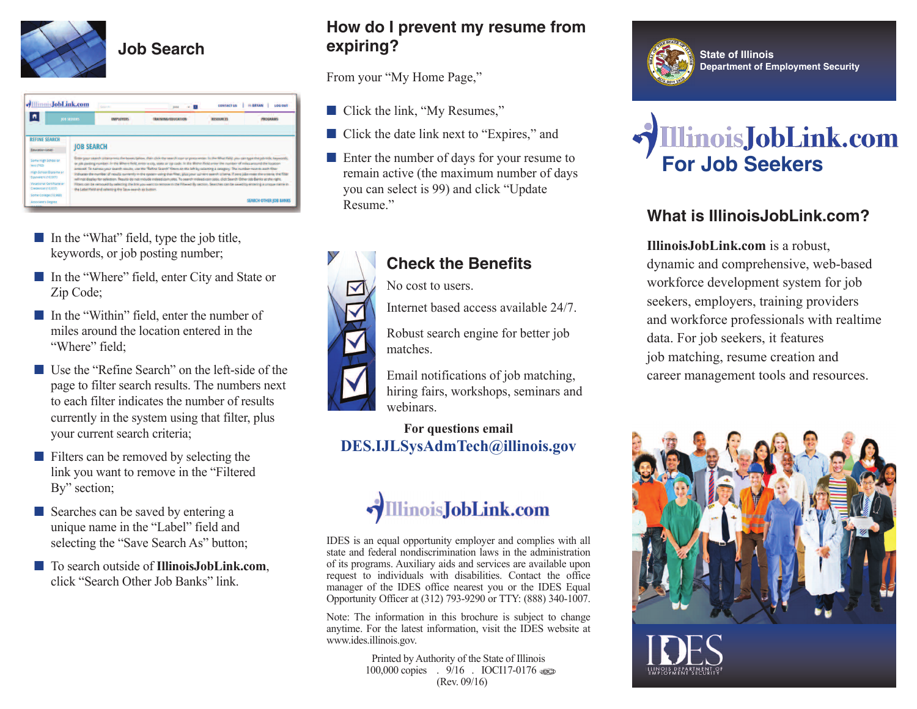

|                                                                                    | <b>AllimoisJobLink.com</b> | <b>Address</b>                                                                                                                                                                                             | <b>JSDA</b>                                                                                                                                                                                                                                                                                                                                                                                                                                                                                                                                                                                                                                                                                                                                                      | <b>CONTACT US</b> | <b><i>III BRYAN</i></b><br><b>TUO DOJ</b> |  |  |
|------------------------------------------------------------------------------------|----------------------------|------------------------------------------------------------------------------------------------------------------------------------------------------------------------------------------------------------|------------------------------------------------------------------------------------------------------------------------------------------------------------------------------------------------------------------------------------------------------------------------------------------------------------------------------------------------------------------------------------------------------------------------------------------------------------------------------------------------------------------------------------------------------------------------------------------------------------------------------------------------------------------------------------------------------------------------------------------------------------------|-------------------|-------------------------------------------|--|--|
|                                                                                    | <b>JOB SEEKERS</b>         | <b>EMPLOYERS</b>                                                                                                                                                                                           | TRAINING/EDUCATION                                                                                                                                                                                                                                                                                                                                                                                                                                                                                                                                                                                                                                                                                                                                               | <b>RESOURCES</b>  | PROGRAMS                                  |  |  |
| <b>REFINE SEARCH</b>                                                               |                            |                                                                                                                                                                                                            |                                                                                                                                                                                                                                                                                                                                                                                                                                                                                                                                                                                                                                                                                                                                                                  |                   |                                           |  |  |
| <b>Education Level</b>                                                             |                            | <b>JOB SEARCH</b>                                                                                                                                                                                          |                                                                                                                                                                                                                                                                                                                                                                                                                                                                                                                                                                                                                                                                                                                                                                  |                   |                                           |  |  |
| Some High School or<br>less (702)<br>High School Diploma or<br>Equivalent (10,601) |                            |                                                                                                                                                                                                            | Enter your search criteria into the boxes below, then click the search icon or press enter. In the What field, you can type the job title, keywords,<br>or job posting number. In the Where field, enter a city, state or tip code. In the Wehin field enter the number of miles around the location<br>entered. To narrow your search results, use the "Refine Search" filters on the left by selecting a category. The number next to each filter<br>indicates the number of results currently in the system using that filter, plus your current search criteria. If zero jobs meet the criteria, the filter<br>will not display for selection. Results do not include indeed.com jobs. To search indeed.com jobs, click Search Other Job Banks at the right. |                   |                                           |  |  |
| Vocational Certificate or<br>Credential (10,837)                                   |                            | Filters can be removed by selecting the link you want to remove in the Filtered By section. Searches can be saved by entering a unique name in<br>the Label field and selecting the Save search as button. |                                                                                                                                                                                                                                                                                                                                                                                                                                                                                                                                                                                                                                                                                                                                                                  |                   |                                           |  |  |
| Some College (10,968)                                                              |                            |                                                                                                                                                                                                            |                                                                                                                                                                                                                                                                                                                                                                                                                                                                                                                                                                                                                                                                                                                                                                  |                   | <b>SEARCH OTHER JOB BANKS</b>             |  |  |

- In the "What" field, type the job title, keywords, or job posting number;
- In the "Where" field, enter City and State or Zip Code;
- In the "Within" field, enter the number of miles around the location entered in the "Where" field:
- Use the "Refine Search" on the left-side of the page to filter search results. The numbers next to each filter indicates the number of results currently in the system using that filter, plus your current search criteria;
- Filters can be removed by selecting the link you want to remove in the "Filtered By" section;
- Searches can be saved by entering a unique name in the "Label" field and selecting the "Save Search As" button;
- **■** To search outside of **IllinoisJobLink.com**, click "Search Other Job Banks" link.

## **How do I prevent my resume from expiring?**

From your "My Home Page,"

- Click the link, "My Resumes,"
- Click the date link next to "Expires," and
- Enter the number of days for your resume to remain active (the maximum number of days you can select is 99) and click "Update Resume<sup>"</sup>



# **Check the Benefits**

No cost to users.

Internet based access available 24/7.

Robust search engine for better job matches.

Email notifications of job matching, hiring fairs, workshops, seminars and webinars.

#### **For questions email DES.IJLSysAdmTech@illinois.gov**



IDES is an equal opportunity employer and complies with all state and federal nondiscrimination laws in the administration of its programs. Auxiliary aids and services are available upon request to individuals with disabilities. Contact the office manager of the IDES office nearest you or the IDES Equal Opportunity Officer at (312) 793-9290 or TTY: (888) 340-1007.

Note: The information in this brochure is subject to change anytime. For the latest information, visit the IDES website at www.ides.illinois.gov.

> Printed by Authority of the State of Illinois 100,000 copies . 9/16 . IOCI17-0176 use (Rev. 09/16)





# **What is IllinoisJobLink.com?**

**IllinoisJobLink.com** is a robust, dynamic and comprehensive, web-based workforce development system for job seekers, employers, training providers and workforce professionals with realtime data. For job seekers, it features job matching, resume creation and career management tools and resources.